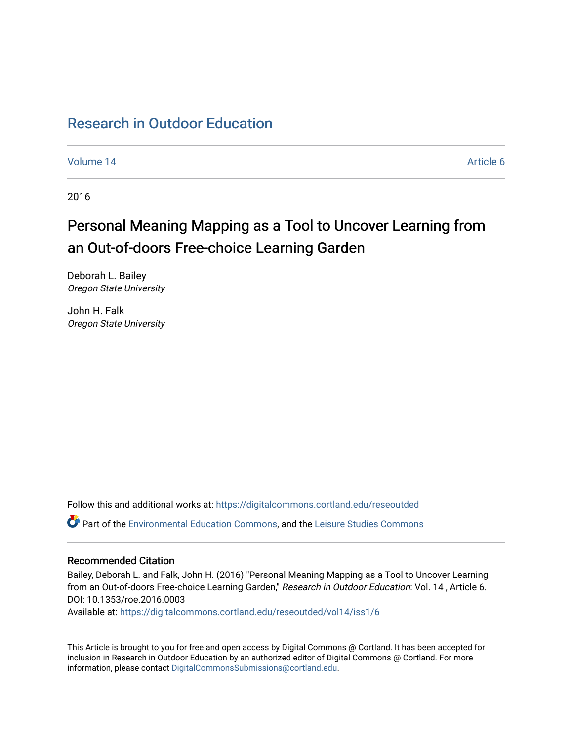# [Research in Outdoor Education](https://digitalcommons.cortland.edu/reseoutded)

[Volume 14](https://digitalcommons.cortland.edu/reseoutded/vol14) Article 6

2016

# Personal Meaning Mapping as a Tool to Uncover Learning from an Out-of-doors Free-choice Learning Garden

Deborah L. Bailey Oregon State University

John H. Falk Oregon State University

Follow this and additional works at: [https://digitalcommons.cortland.edu/reseoutded](https://digitalcommons.cortland.edu/reseoutded?utm_source=digitalcommons.cortland.edu%2Freseoutded%2Fvol14%2Fiss1%2F6&utm_medium=PDF&utm_campaign=PDFCoverPages) Part of the [Environmental Education Commons](http://network.bepress.com/hgg/discipline/1305?utm_source=digitalcommons.cortland.edu%2Freseoutded%2Fvol14%2Fiss1%2F6&utm_medium=PDF&utm_campaign=PDFCoverPages), and the [Leisure Studies Commons](http://network.bepress.com/hgg/discipline/1197?utm_source=digitalcommons.cortland.edu%2Freseoutded%2Fvol14%2Fiss1%2F6&utm_medium=PDF&utm_campaign=PDFCoverPages) 

## Recommended Citation

Bailey, Deborah L. and Falk, John H. (2016) "Personal Meaning Mapping as a Tool to Uncover Learning from an Out-of-doors Free-choice Learning Garden," Research in Outdoor Education: Vol. 14 , Article 6. DOI: 10.1353/roe.2016.0003

Available at: [https://digitalcommons.cortland.edu/reseoutded/vol14/iss1/6](https://digitalcommons.cortland.edu/reseoutded/vol14/iss1/6?utm_source=digitalcommons.cortland.edu%2Freseoutded%2Fvol14%2Fiss1%2F6&utm_medium=PDF&utm_campaign=PDFCoverPages) 

This Article is brought to you for free and open access by Digital Commons @ Cortland. It has been accepted for inclusion in Research in Outdoor Education by an authorized editor of Digital Commons @ Cortland. For more information, please contact [DigitalCommonsSubmissions@cortland.edu](mailto:DigitalCommonsSubmissions@cortland.edu).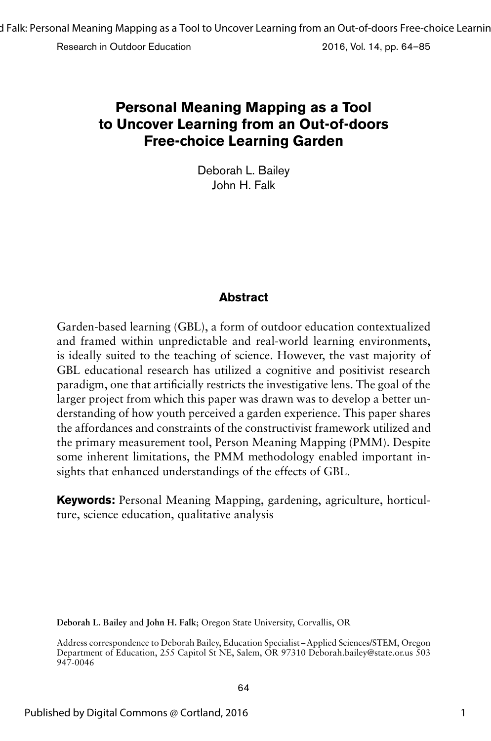Research in Outdoor Education 2016, Vol. 14, pp. 64–85

# **Personal Meaning Mapping as a Tool to Uncover Learning from an Out-of-doors Free-choice Learning Garden**

Deborah L. Bailey John H. Falk

# **Abstract**

Garden-based learning (GBL), a form of outdoor education contextualized and framed within unpredictable and real-world learning environments, is ideally suited to the teaching of science. However, the vast majority of GBL educational research has utilized a cognitive and positivist research paradigm, one that artificially restricts the investigative lens. The goal of the larger project from which this paper was drawn was to develop a better understanding of how youth perceived a garden experience. This paper shares the affordances and constraints of the constructivist framework utilized and the primary measurement tool, Person Meaning Mapping (PMM). Despite some inherent limitations, the PMM methodology enabled important insights that enhanced understandings of the effects of GBL.

**Keywords:** Personal Meaning Mapping, gardening, agriculture, horticulture, science education, qualitative analysis

**Deborah L. Bailey** and **John H. Falk**; Oregon State University, Corvallis, OR

Address correspondence to Deborah Bailey, Education Specialist –Applied Sciences/STEM, Oregon Department of Education, 255 Capitol St NE, Salem, OR 97310 Deborah.bailey@state.or.us 503 947-0046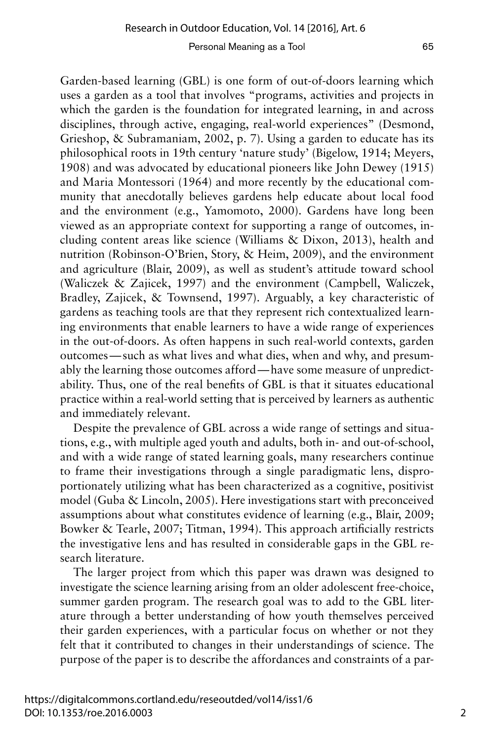Garden-based learning (GBL) is one form of out-of-doors learning which uses a garden as a tool that involves "programs, activities and projects in which the garden is the foundation for integrated learning, in and across disciplines, through active, engaging, real-world experiences" (Desmond, Grieshop, & Subramaniam, 2002, p. 7). Using a garden to educate has its philosophical roots in 19th century 'nature study' (Bigelow, 1914; Meyers, 1908) and was advocated by educational pioneers like John Dewey (1915) and Maria Montessori (1964) and more recently by the educational community that anecdotally believes gardens help educate about local food and the environment (e.g., Yamomoto, 2000). Gardens have long been viewed as an appropriate context for supporting a range of outcomes, including content areas like science (Williams & Dixon, 2013), health and nutrition (Robinson-O'Brien, Story, & Heim, 2009), and the environment and agriculture (Blair, 2009), as well as student's attitude toward school (Waliczek & Zajicek, 1997) and the environment (Campbell, Waliczek, Bradley, Zajicek, & Townsend, 1997). Arguably, a key characteristic of gardens as teaching tools are that they represent rich contextualized learning environments that enable learners to have a wide range of experiences in the out-of-doors. As often happens in such real-world contexts, garden outcomes—such as what lives and what dies, when and why, and presumably the learning those outcomes afford—have some measure of unpredictability. Thus, one of the real benefits of GBL is that it situates educational practice within a real-world setting that is perceived by learners as authentic and immediately relevant.

Despite the prevalence of GBL across a wide range of settings and situations, e.g., with multiple aged youth and adults, both in- and out-of-school, and with a wide range of stated learning goals, many researchers continue to frame their investigations through a single paradigmatic lens, disproportionately utilizing what has been characterized as a cognitive, positivist model (Guba & Lincoln, 2005). Here investigations start with preconceived assumptions about what constitutes evidence of learning (e.g., Blair, 2009; Bowker & Tearle, 2007; Titman, 1994). This approach artificially restricts the investigative lens and has resulted in considerable gaps in the GBL research literature.

The larger project from which this paper was drawn was designed to investigate the science learning arising from an older adolescent free-choice, summer garden program. The research goal was to add to the GBL literature through a better understanding of how youth themselves perceived their garden experiences, with a particular focus on whether or not they felt that it contributed to changes in their understandings of science. The purpose of the paper is to describe the affordances and constraints of a par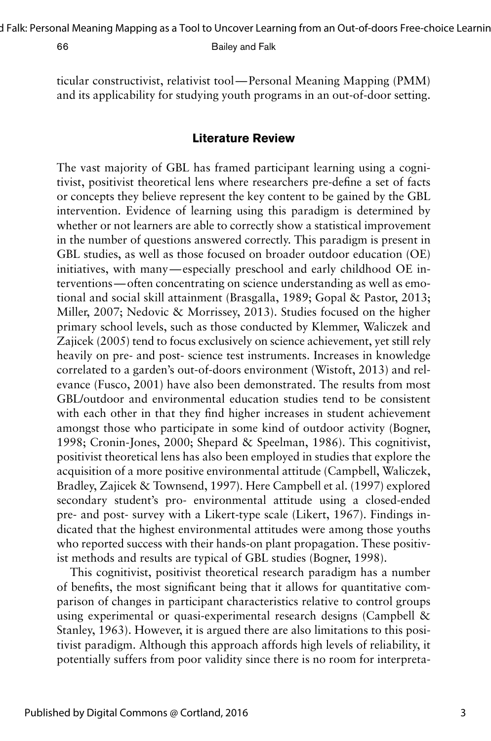d Falk: Personal Meaning Mapping as a Tool to Uncover Learning from an Out-of-doors Free-choice Learnin

66 Bailey and Falk

ticular constructivist, relativist tool—Personal Meaning Mapping (PMM) and its applicability for studying youth programs in an out-of-door setting.

### **Literature Review**

The vast majority of GBL has framed participant learning using a cognitivist, positivist theoretical lens where researchers pre-define a set of facts or concepts they believe represent the key content to be gained by the GBL intervention. Evidence of learning using this paradigm is determined by whether or not learners are able to correctly show a statistical improvement in the number of questions answered correctly. This paradigm is present in GBL studies, as well as those focused on broader outdoor education (OE) initiatives, with many—especially preschool and early childhood OE interventions—often concentrating on science understanding as well as emotional and social skill attainment (Brasgalla, 1989; Gopal & Pastor, 2013; Miller, 2007; Nedovic & Morrissey, 2013). Studies focused on the higher primary school levels, such as those conducted by Klemmer, Waliczek and Zajicek (2005) tend to focus exclusively on science achievement, yet still rely heavily on pre- and post- science test instruments. Increases in knowledge correlated to a garden's out-of-doors environment (Wistoft, 2013) and relevance (Fusco, 2001) have also been demonstrated. The results from most GBL/outdoor and environmental education studies tend to be consistent with each other in that they find higher increases in student achievement amongst those who participate in some kind of outdoor activity (Bogner, 1998; Cronin-Jones, 2000; Shepard & Speelman, 1986). This cognitivist, positivist theoretical lens has also been employed in studies that explore the acquisition of a more positive environmental attitude (Campbell, Waliczek, Bradley, Zajicek & Townsend, 1997). Here Campbell et al. (1997) explored secondary student's pro- environmental attitude using a closed-ended pre- and post- survey with a Likert-type scale (Likert, 1967). Findings indicated that the highest environmental attitudes were among those youths who reported success with their hands-on plant propagation. These positivist methods and results are typical of GBL studies (Bogner, 1998).

This cognitivist, positivist theoretical research paradigm has a number of benefits, the most significant being that it allows for quantitative comparison of changes in participant characteristics relative to control groups using experimental or quasi-experimental research designs (Campbell & Stanley, 1963). However, it is argued there are also limitations to this positivist paradigm. Although this approach affords high levels of reliability, it potentially suffers from poor validity since there is no room for interpreta-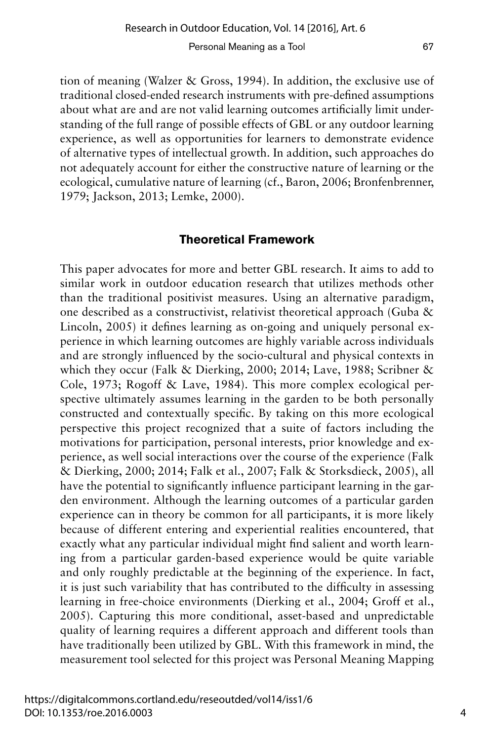tion of meaning (Walzer & Gross, 1994). In addition, the exclusive use of traditional closed-ended research instruments with pre-defined assumptions about what are and are not valid learning outcomes artificially limit understanding of the full range of possible effects of GBL or any outdoor learning experience, as well as opportunities for learners to demonstrate evidence of alternative types of intellectual growth. In addition, such approaches do not adequately account for either the constructive nature of learning or the ecological, cumulative nature of learning (cf., Baron, 2006; Bronfenbrenner, 1979; Jackson, 2013; Lemke, 2000).

### **Theoretical Framework**

This paper advocates for more and better GBL research. It aims to add to similar work in outdoor education research that utilizes methods other than the traditional positivist measures. Using an alternative paradigm, one described as a constructivist, relativist theoretical approach (Guba & Lincoln, 2005) it defines learning as on-going and uniquely personal experience in which learning outcomes are highly variable across individuals and are strongly influenced by the socio-cultural and physical contexts in which they occur (Falk & Dierking, 2000; 2014; Lave, 1988; Scribner & Cole, 1973; Rogoff & Lave, 1984). This more complex ecological perspective ultimately assumes learning in the garden to be both personally constructed and contextually specific. By taking on this more ecological perspective this project recognized that a suite of factors including the motivations for participation, personal interests, prior knowledge and experience, as well social interactions over the course of the experience (Falk & Dierking, 2000; 2014; Falk et al., 2007; Falk & Storksdieck, 2005), all have the potential to significantly influence participant learning in the garden environment. Although the learning outcomes of a particular garden experience can in theory be common for all participants, it is more likely because of different entering and experiential realities encountered, that exactly what any particular individual might find salient and worth learning from a particular garden-based experience would be quite variable and only roughly predictable at the beginning of the experience. In fact, it is just such variability that has contributed to the difficulty in assessing learning in free-choice environments (Dierking et al., 2004; Groff et al., 2005). Capturing this more conditional, asset-based and unpredictable quality of learning requires a different approach and different tools than have traditionally been utilized by GBL. With this framework in mind, the measurement tool selected for this project was Personal Meaning Mapping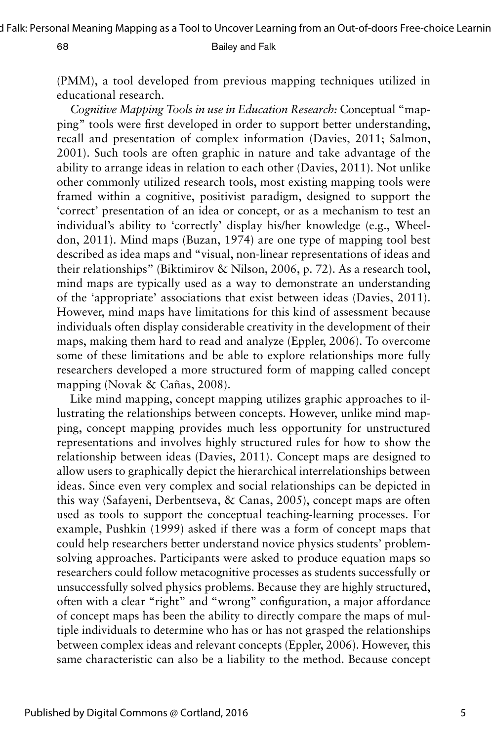d Falk: Personal Meaning Mapping as a Tool to Uncover Learning from an Out-of-doors Free-choice Learnin

### 68 Bailey and Falk

(PMM), a tool developed from previous mapping techniques utilized in educational research.

*Cognitive Mapping Tools in use in Education Research:* Conceptual "mapping" tools were first developed in order to support better understanding, recall and presentation of complex information (Davies, 2011; Salmon, 2001). Such tools are often graphic in nature and take advantage of the ability to arrange ideas in relation to each other (Davies, 2011). Not unlike other commonly utilized research tools, most existing mapping tools were framed within a cognitive, positivist paradigm, designed to support the 'correct' presentation of an idea or concept, or as a mechanism to test an individual's ability to 'correctly' display his/her knowledge (e.g., Wheeldon, 2011). Mind maps (Buzan, 1974) are one type of mapping tool best described as idea maps and "visual, non-linear representations of ideas and their relationships" (Biktimirov & Nilson, 2006, p. 72). As a research tool, mind maps are typically used as a way to demonstrate an understanding of the 'appropriate' associations that exist between ideas (Davies, 2011). However, mind maps have limitations for this kind of assessment because individuals often display considerable creativity in the development of their maps, making them hard to read and analyze (Eppler, 2006). To overcome some of these limitations and be able to explore relationships more fully researchers developed a more structured form of mapping called concept mapping (Novak & Cañas, 2008).

Like mind mapping, concept mapping utilizes graphic approaches to illustrating the relationships between concepts. However, unlike mind mapping, concept mapping provides much less opportunity for unstructured representations and involves highly structured rules for how to show the relationship between ideas (Davies, 2011). Concept maps are designed to allow users to graphically depict the hierarchical interrelationships between ideas. Since even very complex and social relationships can be depicted in this way (Safayeni, Derbentseva, & Canas, 2005), concept maps are often used as tools to support the conceptual teaching-learning processes. For example, Pushkin (1999) asked if there was a form of concept maps that could help researchers better understand novice physics students' problemsolving approaches. Participants were asked to produce equation maps so researchers could follow metacognitive processes as students successfully or unsuccessfully solved physics problems. Because they are highly structured, often with a clear "right" and "wrong" configuration, a major affordance of concept maps has been the ability to directly compare the maps of multiple individuals to determine who has or has not grasped the relationships between complex ideas and relevant concepts (Eppler, 2006). However, this same characteristic can also be a liability to the method. Because concept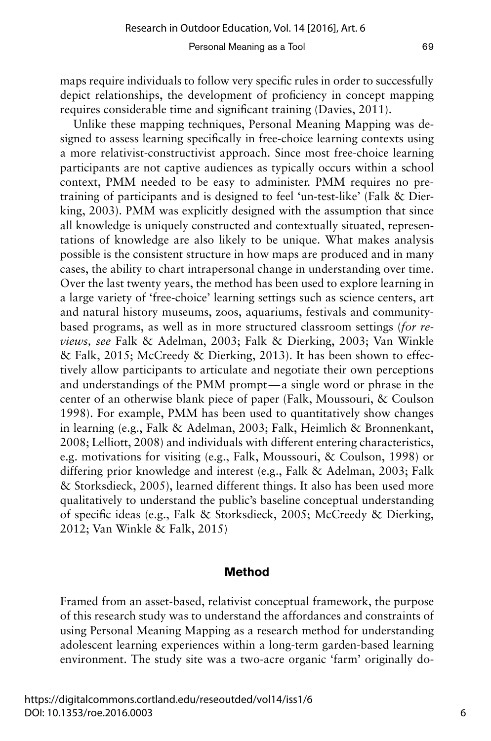maps require individuals to follow very specific rules in order to successfully depict relationships, the development of proficiency in concept mapping requires considerable time and significant training (Davies, 2011).

Unlike these mapping techniques, Personal Meaning Mapping was designed to assess learning specifically in free-choice learning contexts using a more relativist-constructivist approach. Since most free-choice learning participants are not captive audiences as typically occurs within a school context, PMM needed to be easy to administer. PMM requires no pretraining of participants and is designed to feel 'un-test-like' (Falk & Dierking, 2003). PMM was explicitly designed with the assumption that since all knowledge is uniquely constructed and contextually situated, representations of knowledge are also likely to be unique. What makes analysis possible is the consistent structure in how maps are produced and in many cases, the ability to chart intrapersonal change in understanding over time. Over the last twenty years, the method has been used to explore learning in a large variety of 'free-choice' learning settings such as science centers, art and natural history museums, zoos, aquariums, festivals and communitybased programs, as well as in more structured classroom settings (*for reviews, see* Falk & Adelman, 2003; Falk & Dierking, 2003; Van Winkle & Falk, 2015; McCreedy & Dierking, 2013). It has been shown to effectively allow participants to articulate and negotiate their own perceptions and understandings of the PMM prompt—a single word or phrase in the center of an otherwise blank piece of paper (Falk, Moussouri, & Coulson 1998). For example, PMM has been used to quantitatively show changes in learning (e.g., Falk & Adelman, 2003; Falk, Heimlich & Bronnenkant, 2008; Lelliott, 2008) and individuals with different entering characteristics, e.g. motivations for visiting (e.g., Falk, Moussouri, & Coulson, 1998) or differing prior knowledge and interest (e.g., Falk & Adelman, 2003; Falk & Storksdieck, 2005), learned different things. It also has been used more qualitatively to understand the public's baseline conceptual understanding of specific ideas (e.g., Falk & Storksdieck, 2005; McCreedy & Dierking, 2012; Van Winkle & Falk, 2015)

### **Method**

Framed from an asset-based, relativist conceptual framework, the purpose of this research study was to understand the affordances and constraints of using Personal Meaning Mapping as a research method for understanding adolescent learning experiences within a long-term garden-based learning environment. The study site was a two-acre organic 'farm' originally do-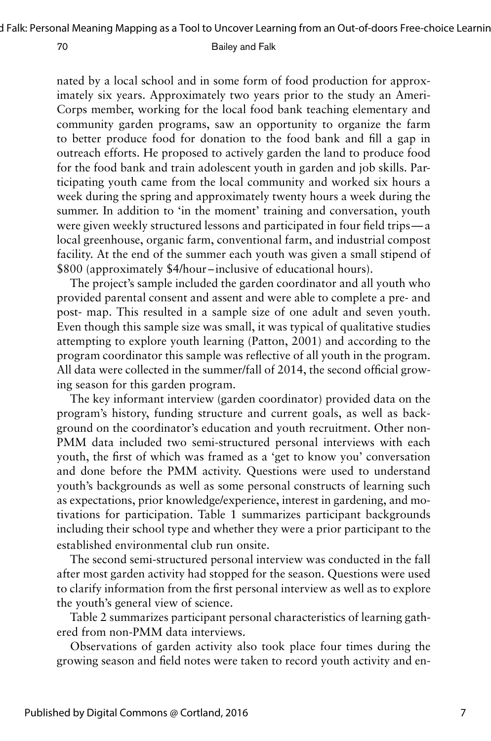nated by a local school and in some form of food production for approximately six years. Approximately two years prior to the study an Ameri-Corps member, working for the local food bank teaching elementary and community garden programs, saw an opportunity to organize the farm to better produce food for donation to the food bank and fill a gap in outreach efforts. He proposed to actively garden the land to produce food for the food bank and train adolescent youth in garden and job skills. Participating youth came from the local community and worked six hours a week during the spring and approximately twenty hours a week during the summer. In addition to 'in the moment' training and conversation, youth were given weekly structured lessons and participated in four field trips—a local greenhouse, organic farm, conventional farm, and industrial compost facility. At the end of the summer each youth was given a small stipend of \$800 (approximately \$4/hour –inclusive of educational hours).

The project's sample included the garden coordinator and all youth who provided parental consent and assent and were able to complete a pre- and post- map. This resulted in a sample size of one adult and seven youth. Even though this sample size was small, it was typical of qualitative studies attempting to explore youth learning (Patton, 2001) and according to the program coordinator this sample was reflective of all youth in the program. All data were collected in the summer/fall of 2014, the second official growing season for this garden program.

The key informant interview (garden coordinator) provided data on the program's history, funding structure and current goals, as well as background on the coordinator's education and youth recruitment. Other non-PMM data included two semi-structured personal interviews with each youth, the first of which was framed as a 'get to know you' conversation and done before the PMM activity. Questions were used to understand youth's backgrounds as well as some personal constructs of learning such as expectations, prior knowledge/experience, interest in gardening, and motivations for participation. Table 1 summarizes participant backgrounds including their school type and whether they were a prior participant to the established environmental club run onsite.

The second semi-structured personal interview was conducted in the fall after most garden activity had stopped for the season. Questions were used to clarify information from the first personal interview as well as to explore the youth's general view of science.

Table 2 summarizes participant personal characteristics of learning gathered from non-PMM data interviews.

Observations of garden activity also took place four times during the growing season and field notes were taken to record youth activity and en-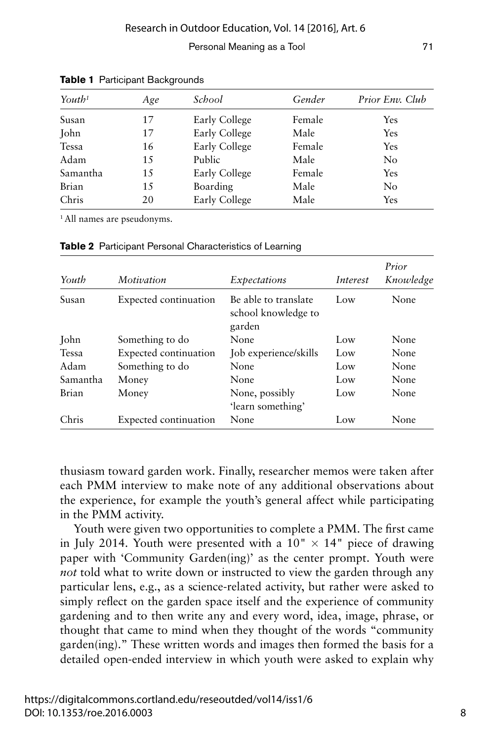| $\gamma$ <sub>Out</sub> $h^1$ | Age | School        | Gender | Prior Env. Club |
|-------------------------------|-----|---------------|--------|-----------------|
| Susan                         | 17  | Early College | Female | Yes             |
| John                          | 17  | Early College | Male   | Yes             |
| Tessa                         | 16  | Early College | Female | Yes             |
| Adam                          | 15  | Public        | Male   | No              |
| Samantha                      | 15  | Early College | Female | Yes             |
| Brian                         | 15  | Boarding      | Male   | No              |
| Chris                         | 20  | Early College | Male   | Yes             |

**Table 1** Participant Backgrounds

1 All names are pseudonyms.

| Youth        | Motivation            | Expectations                                          | Interest | Prior<br>Knowledge |
|--------------|-----------------------|-------------------------------------------------------|----------|--------------------|
| Susan        | Expected continuation | Be able to translate<br>school knowledge to<br>garden | Low      | None               |
| John         | Something to do       | None                                                  | Low      | None               |
| <b>Tessa</b> | Expected continuation | Job experience/skills                                 | Low      | None               |
| Adam         | Something to do       | None                                                  | Low      | None               |
| Samantha     | Money                 | None                                                  | Low      | None               |
| Brian        | Money                 | None, possibly                                        | Low      | None               |
|              |                       | 'learn something'                                     |          |                    |
| Chris        | Expected continuation | None                                                  | Low      | None               |

**Table 2** Participant Personal Characteristics of Learning

thusiasm toward garden work. Finally, researcher memos were taken after each PMM interview to make note of any additional observations about the experience, for example the youth's general affect while participating in the PMM activity.

Youth were given two opportunities to complete a PMM. The first came in July 2014. Youth were presented with a  $10'' \times 14''$  piece of drawing paper with 'Community Garden(ing)' as the center prompt. Youth were *not* told what to write down or instructed to view the garden through any particular lens, e.g., as a science-related activity, but rather were asked to simply reflect on the garden space itself and the experience of community gardening and to then write any and every word, idea, image, phrase, or thought that came to mind when they thought of the words "community garden(ing)." These written words and images then formed the basis for a detailed open-ended interview in which youth were asked to explain why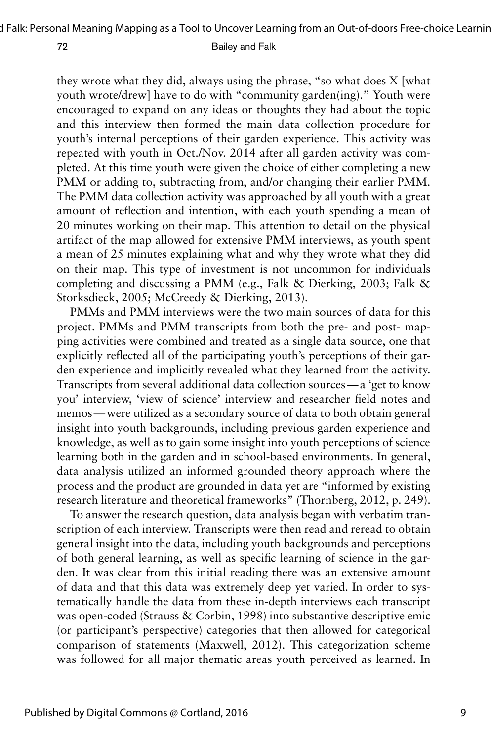they wrote what they did, always using the phrase, "so what does X [what youth wrote/drew] have to do with "community garden(ing)." Youth were encouraged to expand on any ideas or thoughts they had about the topic and this interview then formed the main data collection procedure for youth's internal perceptions of their garden experience. This activity was repeated with youth in Oct./Nov. 2014 after all garden activity was completed. At this time youth were given the choice of either completing a new PMM or adding to, subtracting from, and/or changing their earlier PMM. The PMM data collection activity was approached by all youth with a great amount of reflection and intention, with each youth spending a mean of 20 minutes working on their map. This attention to detail on the physical artifact of the map allowed for extensive PMM interviews, as youth spent a mean of 25 minutes explaining what and why they wrote what they did on their map. This type of investment is not uncommon for individuals completing and discussing a PMM (e.g., Falk & Dierking, 2003; Falk & Storksdieck, 2005; McCreedy & Dierking, 2013).

PMMs and PMM interviews were the two main sources of data for this project. PMMs and PMM transcripts from both the pre- and post- mapping activities were combined and treated as a single data source, one that explicitly reflected all of the participating youth's perceptions of their garden experience and implicitly revealed what they learned from the activity. Transcripts from several additional data collection sources—a 'get to know you' interview, 'view of science' interview and researcher field notes and memos—were utilized as a secondary source of data to both obtain general insight into youth backgrounds, including previous garden experience and knowledge, as well as to gain some insight into youth perceptions of science learning both in the garden and in school-based environments. In general, data analysis utilized an informed grounded theory approach where the process and the product are grounded in data yet are "informed by existing research literature and theoretical frameworks" (Thornberg, 2012, p. 249).

To answer the research question, data analysis began with verbatim transcription of each interview. Transcripts were then read and reread to obtain general insight into the data, including youth backgrounds and perceptions of both general learning, as well as specific learning of science in the garden. It was clear from this initial reading there was an extensive amount of data and that this data was extremely deep yet varied. In order to systematically handle the data from these in-depth interviews each transcript was open-coded (Strauss & Corbin, 1998) into substantive descriptive emic (or participant's perspective) categories that then allowed for categorical comparison of statements (Maxwell, 2012). This categorization scheme was followed for all major thematic areas youth perceived as learned. In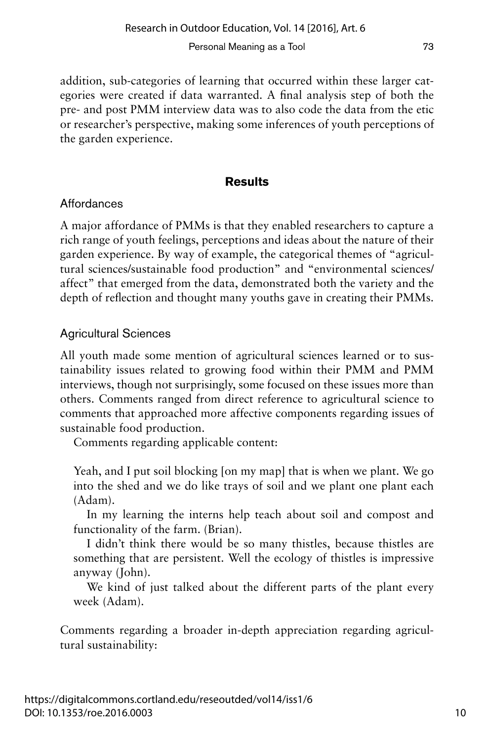addition, sub-categories of learning that occurred within these larger categories were created if data warranted. A final analysis step of both the pre- and post PMM interview data was to also code the data from the etic or researcher's perspective, making some inferences of youth perceptions of the garden experience.

# **Results**

## **Affordances**

A major affordance of PMMs is that they enabled researchers to capture a rich range of youth feelings, perceptions and ideas about the nature of their garden experience. By way of example, the categorical themes of "agricultural sciences/sustainable food production" and "environmental sciences/ affect" that emerged from the data, demonstrated both the variety and the depth of reflection and thought many youths gave in creating their PMMs.

# Agricultural Sciences

All youth made some mention of agricultural sciences learned or to sustainability issues related to growing food within their PMM and PMM interviews, though not surprisingly, some focused on these issues more than others. Comments ranged from direct reference to agricultural science to comments that approached more affective components regarding issues of sustainable food production.

Comments regarding applicable content:

Yeah, and I put soil blocking [on my map] that is when we plant. We go into the shed and we do like trays of soil and we plant one plant each (Adam).

In my learning the interns help teach about soil and compost and functionality of the farm. (Brian).

I didn't think there would be so many thistles, because thistles are something that are persistent. Well the ecology of thistles is impressive anyway (John).

We kind of just talked about the different parts of the plant every week (Adam).

Comments regarding a broader in-depth appreciation regarding agricultural sustainability: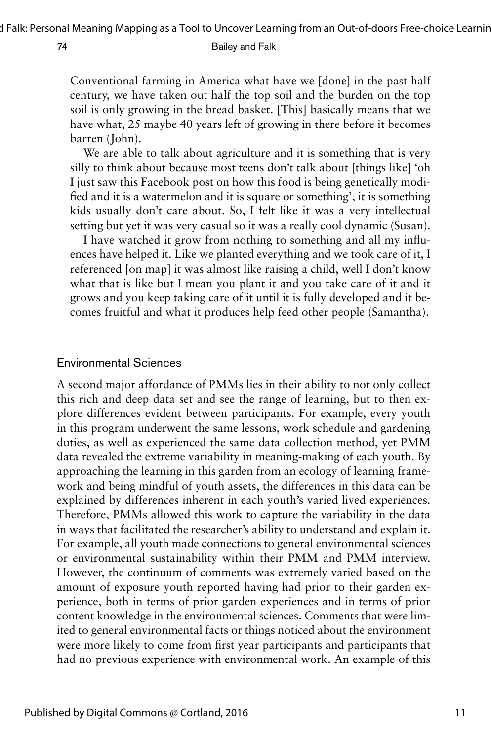Conventional farming in America what have we [done] in the past half century, we have taken out half the top soil and the burden on the top soil is only growing in the bread basket. [This] basically means that we have what, 25 maybe 40 years left of growing in there before it becomes barren (John).

We are able to talk about agriculture and it is something that is very silly to think about because most teens don't talk about [things like] 'oh I just saw this Facebook post on how this food is being genetically modified and it is a watermelon and it is square or something', it is something kids usually don't care about. So, I felt like it was a very intellectual setting but yet it was very casual so it was a really cool dynamic (Susan).

I have watched it grow from nothing to something and all my influences have helped it. Like we planted everything and we took care of it, I referenced [on map] it was almost like raising a child, well I don't know what that is like but I mean you plant it and you take care of it and it grows and you keep taking care of it until it is fully developed and it becomes fruitful and what it produces help feed other people (Samantha).

### Environmental Sciences

A second major affordance of PMMs lies in their ability to not only collect this rich and deep data set and see the range of learning, but to then explore differences evident between participants. For example, every youth in this program underwent the same lessons, work schedule and gardening duties, as well as experienced the same data collection method, yet PMM data revealed the extreme variability in meaning-making of each youth. By approaching the learning in this garden from an ecology of learning framework and being mindful of youth assets, the differences in this data can be explained by differences inherent in each youth's varied lived experiences. Therefore, PMMs allowed this work to capture the variability in the data in ways that facilitated the researcher's ability to understand and explain it. For example, all youth made connections to general environmental sciences or environmental sustainability within their PMM and PMM interview. However, the continuum of comments was extremely varied based on the amount of exposure youth reported having had prior to their garden experience, both in terms of prior garden experiences and in terms of prior content knowledge in the environmental sciences. Comments that were limited to general environmental facts or things noticed about the environment were more likely to come from first year participants and participants that had no previous experience with environmental work. An example of this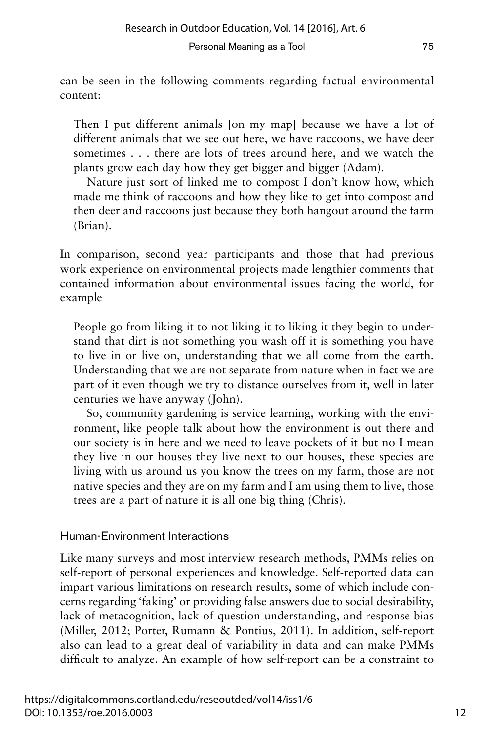can be seen in the following comments regarding factual environmental content:

Then I put different animals [on my map] because we have a lot of different animals that we see out here, we have raccoons, we have deer sometimes . . . there are lots of trees around here, and we watch the plants grow each day how they get bigger and bigger (Adam).

Nature just sort of linked me to compost I don't know how, which made me think of raccoons and how they like to get into compost and then deer and raccoons just because they both hangout around the farm (Brian).

In comparison, second year participants and those that had previous work experience on environmental projects made lengthier comments that contained information about environmental issues facing the world, for example

People go from liking it to not liking it to liking it they begin to understand that dirt is not something you wash off it is something you have to live in or live on, understanding that we all come from the earth. Understanding that we are not separate from nature when in fact we are part of it even though we try to distance ourselves from it, well in later centuries we have anyway (John).

So, community gardening is service learning, working with the environment, like people talk about how the environment is out there and our society is in here and we need to leave pockets of it but no I mean they live in our houses they live next to our houses, these species are living with us around us you know the trees on my farm, those are not native species and they are on my farm and I am using them to live, those trees are a part of nature it is all one big thing (Chris).

## Human-Environment Interactions

Like many surveys and most interview research methods, PMMs relies on self-report of personal experiences and knowledge. Self-reported data can impart various limitations on research results, some of which include concerns regarding 'faking' or providing false answers due to social desirability, lack of metacognition, lack of question understanding, and response bias (Miller, 2012; Porter, Rumann & Pontius, 2011). In addition, self-report also can lead to a great deal of variability in data and can make PMMs difficult to analyze. An example of how self-report can be a constraint to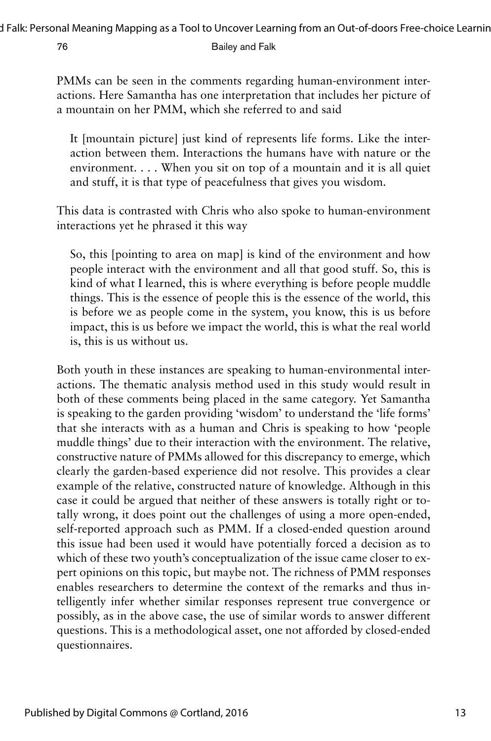PMMs can be seen in the comments regarding human-environment interactions. Here Samantha has one interpretation that includes her picture of a mountain on her PMM, which she referred to and said

It [mountain picture] just kind of represents life forms. Like the interaction between them. Interactions the humans have with nature or the environment. . . . When you sit on top of a mountain and it is all quiet and stuff, it is that type of peacefulness that gives you wisdom.

This data is contrasted with Chris who also spoke to human-environment interactions yet he phrased it this way

So, this [pointing to area on map] is kind of the environment and how people interact with the environment and all that good stuff. So, this is kind of what I learned, this is where everything is before people muddle things. This is the essence of people this is the essence of the world, this is before we as people come in the system, you know, this is us before impact, this is us before we impact the world, this is what the real world is, this is us without us.

Both youth in these instances are speaking to human-environmental interactions. The thematic analysis method used in this study would result in both of these comments being placed in the same category. Yet Samantha is speaking to the garden providing 'wisdom' to understand the 'life forms' that she interacts with as a human and Chris is speaking to how 'people muddle things' due to their interaction with the environment. The relative, constructive nature of PMMs allowed for this discrepancy to emerge, which clearly the garden-based experience did not resolve. This provides a clear example of the relative, constructed nature of knowledge. Although in this case it could be argued that neither of these answers is totally right or totally wrong, it does point out the challenges of using a more open-ended, self-reported approach such as PMM. If a closed-ended question around this issue had been used it would have potentially forced a decision as to which of these two youth's conceptualization of the issue came closer to expert opinions on this topic, but maybe not. The richness of PMM responses enables researchers to determine the context of the remarks and thus intelligently infer whether similar responses represent true convergence or possibly, as in the above case, the use of similar words to answer different questions. This is a methodological asset, one not afforded by closed-ended questionnaires.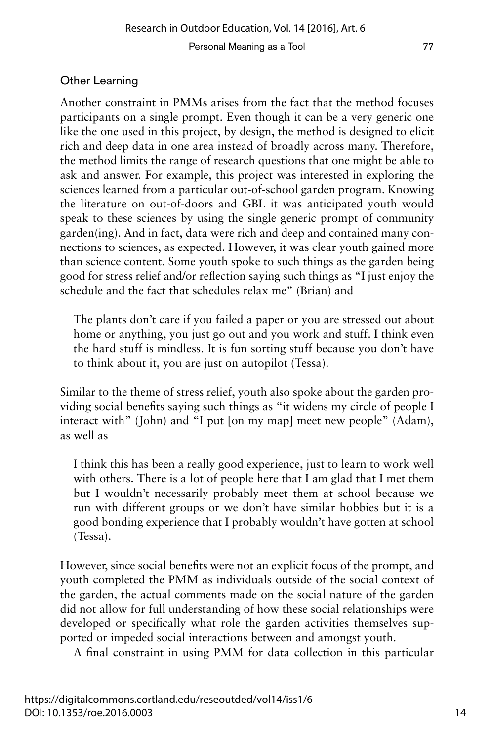## Other Learning

Another constraint in PMMs arises from the fact that the method focuses participants on a single prompt. Even though it can be a very generic one like the one used in this project, by design, the method is designed to elicit rich and deep data in one area instead of broadly across many. Therefore, the method limits the range of research questions that one might be able to ask and answer. For example, this project was interested in exploring the sciences learned from a particular out-of-school garden program. Knowing the literature on out-of-doors and GBL it was anticipated youth would speak to these sciences by using the single generic prompt of community garden(ing). And in fact, data were rich and deep and contained many connections to sciences, as expected. However, it was clear youth gained more than science content. Some youth spoke to such things as the garden being good for stress relief and/or reflection saying such things as "I just enjoy the schedule and the fact that schedules relax me" (Brian) and

The plants don't care if you failed a paper or you are stressed out about home or anything, you just go out and you work and stuff. I think even the hard stuff is mindless. It is fun sorting stuff because you don't have to think about it, you are just on autopilot (Tessa).

Similar to the theme of stress relief, youth also spoke about the garden providing social benefits saying such things as "it widens my circle of people I interact with" (John) and "I put [on my map] meet new people" (Adam), as well as

I think this has been a really good experience, just to learn to work well with others. There is a lot of people here that I am glad that I met them but I wouldn't necessarily probably meet them at school because we run with different groups or we don't have similar hobbies but it is a good bonding experience that I probably wouldn't have gotten at school (Tessa).

However, since social benefits were not an explicit focus of the prompt, and youth completed the PMM as individuals outside of the social context of the garden, the actual comments made on the social nature of the garden did not allow for full understanding of how these social relationships were developed or specifically what role the garden activities themselves supported or impeded social interactions between and amongst youth.

A final constraint in using PMM for data collection in this particular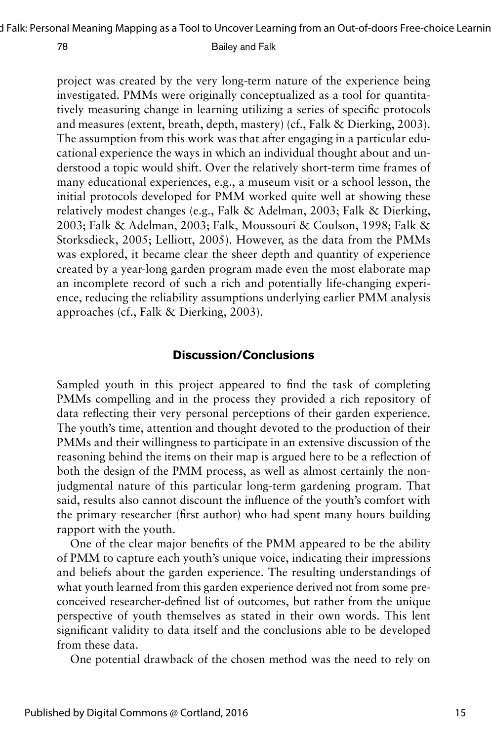project was created by the very long-term nature of the experience being investigated. PMMs were originally conceptualized as a tool for quantitatively measuring change in learning utilizing a series of specific protocols and measures (extent, breath, depth, mastery) (cf., Falk & Dierking, 2003). The assumption from this work was that after engaging in a particular educational experience the ways in which an individual thought about and understood a topic would shift. Over the relatively short-term time frames of many educational experiences, e.g., a museum visit or a school lesson, the initial protocols developed for PMM worked quite well at showing these relatively modest changes (e.g., Falk & Adelman, 2003; Falk & Dierking, 2003; Falk & Adelman, 2003; Falk, Moussouri & Coulson, 1998; Falk & Storksdieck, 2005; Lelliott, 2005). However, as the data from the PMMs was explored, it became clear the sheer depth and quantity of experience created by a year-long garden program made even the most elaborate map an incomplete record of such a rich and potentially life-changing experience, reducing the reliability assumptions underlying earlier PMM analysis approaches (cf., Falk & Dierking, 2003).

### **Discussion/Conclusions**

Sampled youth in this project appeared to find the task of completing PMMs compelling and in the process they provided a rich repository of data reflecting their very personal perceptions of their garden experience. The youth's time, attention and thought devoted to the production of their PMMs and their willingness to participate in an extensive discussion of the reasoning behind the items on their map is argued here to be a reflection of both the design of the PMM process, as well as almost certainly the nonjudgmental nature of this particular long-term gardening program. That said, results also cannot discount the influence of the youth's comfort with the primary researcher (first author) who had spent many hours building rapport with the youth.

One of the clear major benefits of the PMM appeared to be the ability of PMM to capture each youth's unique voice, indicating their impressions and beliefs about the garden experience. The resulting understandings of what youth learned from this garden experience derived not from some preconceived researcher-defined list of outcomes, but rather from the unique perspective of youth themselves as stated in their own words. This lent significant validity to data itself and the conclusions able to be developed from these data.

One potential drawback of the chosen method was the need to rely on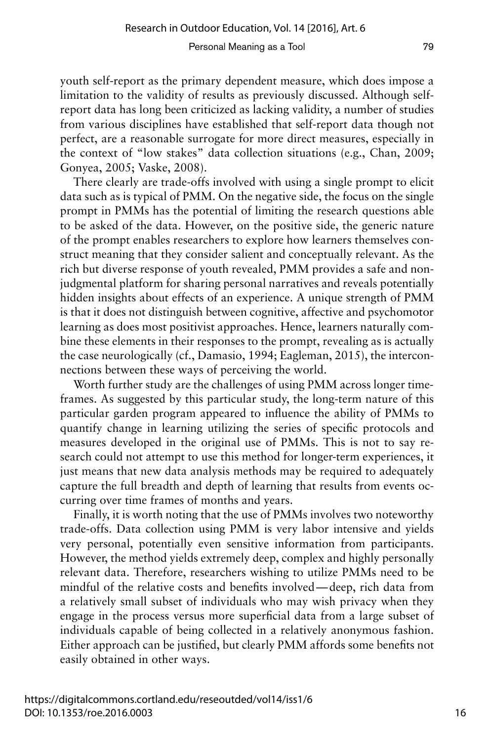youth self-report as the primary dependent measure, which does impose a limitation to the validity of results as previously discussed. Although selfreport data has long been criticized as lacking validity, a number of studies from various disciplines have established that self-report data though not perfect, are a reasonable surrogate for more direct measures, especially in the context of "low stakes" data collection situations (e.g., Chan, 2009; Gonyea, 2005; Vaske, 2008).

There clearly are trade-offs involved with using a single prompt to elicit data such as is typical of PMM. On the negative side, the focus on the single prompt in PMMs has the potential of limiting the research questions able to be asked of the data. However, on the positive side, the generic nature of the prompt enables researchers to explore how learners themselves construct meaning that they consider salient and conceptually relevant. As the rich but diverse response of youth revealed, PMM provides a safe and nonjudgmental platform for sharing personal narratives and reveals potentially hidden insights about effects of an experience. A unique strength of PMM is that it does not distinguish between cognitive, affective and psychomotor learning as does most positivist approaches. Hence, learners naturally combine these elements in their responses to the prompt, revealing as is actually the case neurologically (cf., Damasio, 1994; Eagleman, 2015), the interconnections between these ways of perceiving the world.

Worth further study are the challenges of using PMM across longer timeframes. As suggested by this particular study, the long-term nature of this particular garden program appeared to influence the ability of PMMs to quantify change in learning utilizing the series of specific protocols and measures developed in the original use of PMMs. This is not to say research could not attempt to use this method for longer-term experiences, it just means that new data analysis methods may be required to adequately capture the full breadth and depth of learning that results from events occurring over time frames of months and years.

Finally, it is worth noting that the use of PMMs involves two noteworthy trade-offs. Data collection using PMM is very labor intensive and yields very personal, potentially even sensitive information from participants. However, the method yields extremely deep, complex and highly personally relevant data. Therefore, researchers wishing to utilize PMMs need to be mindful of the relative costs and benefits involved—deep, rich data from a relatively small subset of individuals who may wish privacy when they engage in the process versus more superficial data from a large subset of individuals capable of being collected in a relatively anonymous fashion. Either approach can be justified, but clearly PMM affords some benefits not easily obtained in other ways.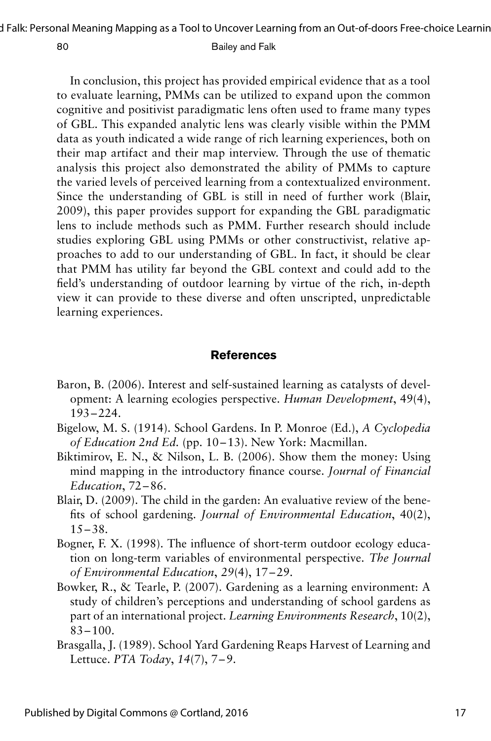d Falk: Personal Meaning Mapping as a Tool to Uncover Learning from an Out-of-doors Free-choice Learnin

#### 80 Bailey and Falk

In conclusion, this project has provided empirical evidence that as a tool to evaluate learning, PMMs can be utilized to expand upon the common cognitive and positivist paradigmatic lens often used to frame many types of GBL. This expanded analytic lens was clearly visible within the PMM data as youth indicated a wide range of rich learning experiences, both on their map artifact and their map interview. Through the use of thematic analysis this project also demonstrated the ability of PMMs to capture the varied levels of perceived learning from a contextualized environment. Since the understanding of GBL is still in need of further work (Blair, 2009), this paper provides support for expanding the GBL paradigmatic lens to include methods such as PMM. Further research should include studies exploring GBL using PMMs or other constructivist, relative approaches to add to our understanding of GBL. In fact, it should be clear that PMM has utility far beyond the GBL context and could add to the field's understanding of outdoor learning by virtue of the rich, in-depth view it can provide to these diverse and often unscripted, unpredictable learning experiences.

### **References**

- Baron, B. (2006). Interest and self-sustained learning as catalysts of development: A learning ecologies perspective. *Human Development*, 49(4), 193–224.
- Bigelow, M. S. (1914). School Gardens. In P. Monroe (Ed.), *A Cyclopedia of Education 2nd Ed.* (pp. 10–13). New York: Macmillan.
- Biktimirov, E. N., & Nilson, L. B. (2006). Show them the money: Using mind mapping in the introductory finance course. *Journal of Financial Education*, 72–86.
- Blair, D. (2009). The child in the garden: An evaluative review of the benefits of school gardening. *Journal of Environmental Education*, 40(2),  $15 - 38.$
- Bogner, F. X. (1998). The influence of short-term outdoor ecology education on long-term variables of environmental perspective. *The Journal of Environmental Education*, *29*(4), 17–29.
- Bowker, R., & Tearle, P. (2007). Gardening as a learning environment: A study of children's perceptions and understanding of school gardens as part of an international project. *Learning Environments Research*, 10(2),  $83 - 100$ .
- Brasgalla, J. (1989). School Yard Gardening Reaps Harvest of Learning and Lettuce. *PTA Today*, *14*(7), 7–9.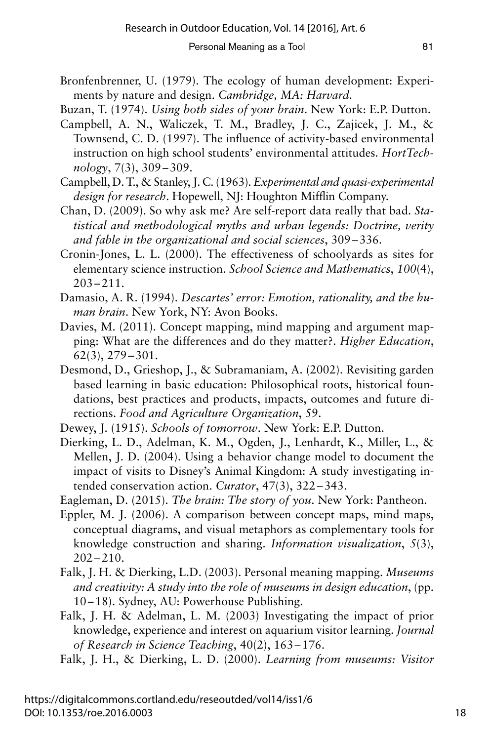- Bronfenbrenner, U. (1979). The ecology of human development: Experiments by nature and design. *Cambridge, MA: Harvard.*
- Buzan, T. (1974). *Using both sides of your brain*. New York: E.P. Dutton.
- Campbell, A. N., Waliczek, T. M., Bradley, J. C., Zajicek, J. M., & Townsend, C. D. (1997). The influence of activity-based environmental instruction on high school students' environmental attitudes. *HortTechnology*, 7(3), 309–309.
- Campbell, D. T., & Stanley, J. C. (1963). *Experimental and quasi-experimental design for research*. Hopewell, NJ: Houghton Mifflin Company.
- Chan, D. (2009). So why ask me? Are self-report data really that bad. *Statistical and methodological myths and urban legends: Doctrine, verity and fable in the organizational and social sciences*, 309–336.
- Cronin-Jones, L. L. (2000). The effectiveness of schoolyards as sites for elementary science instruction. *School Science and Mathematics*, *100*(4), 203–211.
- Damasio, A. R. (1994). *Descartes' error: Emotion, rationality, and the human brain*. New York, NY: Avon Books.
- Davies, M. (2011). Concept mapping, mind mapping and argument mapping: What are the differences and do they matter?. *Higher Education*, 62(3), 279–301.
- Desmond, D., Grieshop, J., & Subramaniam, A. (2002). Revisiting garden based learning in basic education: Philosophical roots, historical foundations, best practices and products, impacts, outcomes and future directions. *Food and Agriculture Organization*, 59.
- Dewey, J. (1915). *Schools of tomorrow*. New York: E.P. Dutton.
- Dierking, L. D., Adelman, K. M., Ogden, J., Lenhardt, K., Miller, L., & Mellen, J. D. (2004). Using a behavior change model to document the impact of visits to Disney's Animal Kingdom: A study investigating intended conservation action. *Curator*, 47(3), 322–343.
- Eagleman, D. (2015). *The brain: The story of you*. New York: Pantheon.
- Eppler, M. J. (2006). A comparison between concept maps, mind maps, conceptual diagrams, and visual metaphors as complementary tools for knowledge construction and sharing. *Information visualization*, *5*(3), 202–210.
- Falk, J. H. & Dierking, L.D. (2003). Personal meaning mapping. *Museums and creativity: A study into the role of museums in design education*, (pp. 10–18). Sydney, AU: Powerhouse Publishing.
- Falk, J. H. & Adelman, L. M. (2003) Investigating the impact of prior knowledge, experience and interest on aquarium visitor learning. *Journal of Research in Science Teaching*, 40(2), 163–176.
- Falk, J. H., & Dierking, L. D. (2000). *Learning from museums: Visitor*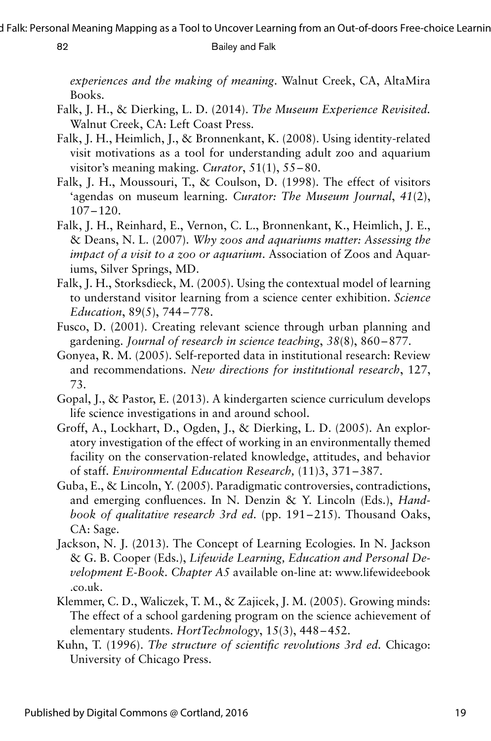*experiences and the making of meaning*. Walnut Creek, CA, AltaMira Books.

- Falk, J. H., & Dierking, L. D. (2014). *The Museum Experience Revisited.* Walnut Creek, CA: Left Coast Press.
- Falk, J. H., Heimlich, J., & Bronnenkant, K. (2008). Using identity-related visit motivations as a tool for understanding adult zoo and aquarium visitor's meaning making. *Curator*, 51(1), 55–80.
- Falk, J. H., Moussouri, T., & Coulson, D. (1998). The effect of visitors 'agendas on museum learning. *Curator: The Museum Journal*, *41*(2), 107–120.
- Falk, J. H., Reinhard, E., Vernon, C. L., Bronnenkant, K., Heimlich, J. E., & Deans, N. L. (2007). *Why zoos and aquariums matter: Assessing the impact of a visit to a zoo or aquarium*. Association of Zoos and Aquariums, Silver Springs, MD.
- Falk, J. H., Storksdieck, M. (2005). Using the contextual model of learning to understand visitor learning from a science center exhibition. *Science Education*, 89(5), 744–778.
- Fusco, D. (2001). Creating relevant science through urban planning and gardening. *Journal of research in science teaching*, *38*(8), 860–877.
- Gonyea, R. M. (2005). Self-reported data in institutional research: Review and recommendations. *New directions for institutional research*, 127, 73.
- Gopal, J., & Pastor, E. (2013). A kindergarten science curriculum develops life science investigations in and around school.
- Groff, A., Lockhart, D., Ogden, J., & Dierking, L. D. (2005). An exploratory investigation of the effect of working in an environmentally themed facility on the conservation-related knowledge, attitudes, and behavior of staff. *Environmental Education Research,* (11)3, 371–387.
- Guba, E., & Lincoln, Y. (2005). Paradigmatic controversies, contradictions, and emerging confluences. In N. Denzin & Y. Lincoln (Eds.), *Handbook of qualitative research 3rd ed.* (pp. 191–215). Thousand Oaks, CA: Sage.
- Jackson, N. J. (2013). The Concept of Learning Ecologies. In N. Jackson & G. B. Cooper (Eds.), *Lifewide Learning, Education and Personal Development E-Book. Chapter A5* available on-line at: www.lifewideebook .co.uk.
- Klemmer, C. D., Waliczek, T. M., & Zajicek, J. M. (2005). Growing minds: The effect of a school gardening program on the science achievement of elementary students. *HortTechnology*, 15(3), 448–452.
- Kuhn, T. (1996). *The structure of scientific revolutions 3rd ed.* Chicago: University of Chicago Press.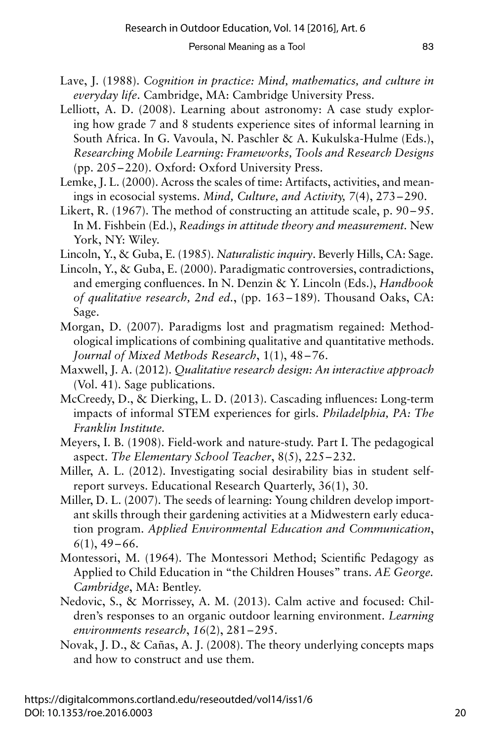- Lave, J. (1988). *Cognition in practice: Mind, mathematics, and culture in everyday life*. Cambridge, MA: Cambridge University Press.
- Lelliott, A. D. (2008). Learning about astronomy: A case study exploring how grade 7 and 8 students experience sites of informal learning in South Africa. In G. Vavoula, N. Paschler & A. Kukulska-Hulme (Eds.), *Researching Mobile Learning: Frameworks, Tools and Research Designs* (pp. 205–220). Oxford: Oxford University Press.
- Lemke, J. L. (2000). Across the scales of time: Artifacts, activities, and meanings in ecosocial systems. *Mind, Culture, and Activity, 7*(4), 273–290.
- Likert, R. (1967). The method of constructing an attitude scale, p. 90–95. In M. Fishbein (Ed.), *Readings in attitude theory and measurement.* New York, NY: Wiley.
- Lincoln, Y., & Guba, E. (1985). *Naturalistic inquiry*. Beverly Hills, CA: Sage.
- Lincoln, Y., & Guba, E. (2000). Paradigmatic controversies, contradictions, and emerging confluences. In N. Denzin & Y. Lincoln (Eds.), *Handbook of qualitative research, 2nd ed.*, (pp. 163–189). Thousand Oaks, CA: Sage.
- Morgan, D. (2007). Paradigms lost and pragmatism regained: Methodological implications of combining qualitative and quantitative methods. *Journal of Mixed Methods Research*, 1(1), 48–76.
- Maxwell, J. A. (2012). *Qualitative research design: An interactive approach* (Vol. 41). Sage publications.
- McCreedy, D., & Dierking, L. D. (2013). Cascading influences: Long-term impacts of informal STEM experiences for girls. *Philadelphia, PA: The Franklin Institute.*
- Meyers, I. B. (1908). Field-work and nature-study. Part I. The pedagogical aspect. *The Elementary School Teacher*, 8(5), 225–232.
- Miller, A. L. (2012). Investigating social desirability bias in student selfreport surveys. Educational Research Quarterly, 36(1), 30.
- Miller, D. L. (2007). The seeds of learning: Young children develop important skills through their gardening activities at a Midwestern early education program. *Applied Environmental Education and Communication*, *6*(1), 49–66.
- Montessori, M. (1964). The Montessori Method; Scientific Pedagogy as Applied to Child Education in "the Children Houses" trans. *AE George. Cambridge*, MA: Bentley.
- Nedovic, S., & Morrissey, A. M. (2013). Calm active and focused: Children's responses to an organic outdoor learning environment. *Learning environments research*, *16*(2), 281–295.
- Novak, J. D., & Cañas, A. J. (2008). The theory underlying concepts maps and how to construct and use them.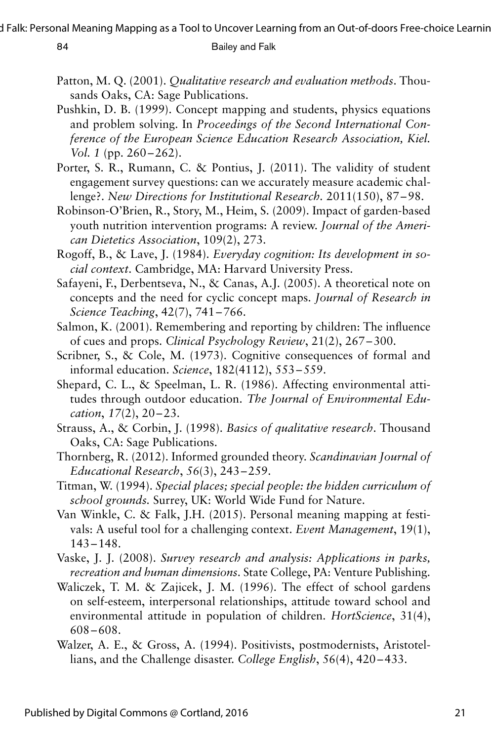- Patton, M. Q. (2001). *Qualitative research and evaluation methods*. Thousands Oaks, CA: Sage Publications.
- Pushkin, D. B. (1999). Concept mapping and students, physics equations and problem solving. In *Proceedings of the Second International Conference of the European Science Education Research Association, Kiel. Vol. 1* (pp. 260–262).
- Porter, S. R., Rumann, C. & Pontius, J. (2011). The validity of student engagement survey questions: can we accurately measure academic challenge?. *New Directions for Institutional Research.* 2011(150), 87–98.
- Robinson-O'Brien, R., Story, M., Heim, S. (2009). Impact of garden-based youth nutrition intervention programs: A review. *Journal of the American Dietetics Association*, 109(2), 273.
- Rogoff, B., & Lave, J. (1984). *Everyday cognition: Its development in social context*. Cambridge, MA: Harvard University Press.
- Safayeni, F., Derbentseva, N., & Canas, A.J. (2005). A theoretical note on concepts and the need for cyclic concept maps. *Journal of Research in Science Teaching*, 42(7), 741–766.
- Salmon, K. (2001). Remembering and reporting by children: The influence of cues and props. *Clinical Psychology Review*, 21(2), 267–300.
- Scribner, S., & Cole, M. (1973). Cognitive consequences of formal and informal education. *Science*, 182(4112), 553–559.
- Shepard, C. L., & Speelman, L. R. (1986). Affecting environmental attitudes through outdoor education. *The Journal of Environmental Education*, *17*(2), 20–23.
- Strauss, A., & Corbin, J. (1998). *Basics of qualitative research*. Thousand Oaks, CA: Sage Publications.
- Thornberg, R. (2012). Informed grounded theory. *Scandinavian Journal of Educational Research*, *56*(3), 243–259.
- Titman, W. (1994). *Special places; special people: the hidden curriculum of school grounds.* Surrey, UK: World Wide Fund for Nature.
- Van Winkle, C. & Falk, J.H. (2015). Personal meaning mapping at festivals: A useful tool for a challenging context. *Event Management*, 19(1), 143–148.
- Vaske, J. J. (2008). *Survey research and analysis: Applications in parks, recreation and human dimensions*. State College, PA: Venture Publishing.
- Waliczek, T. M. & Zajicek, J. M. (1996). The effect of school gardens on self-esteem, interpersonal relationships, attitude toward school and environmental attitude in population of children. *HortScience*, 31(4), 608–608.
- Walzer, A. E., & Gross, A. (1994). Positivists, postmodernists, Aristotellians, and the Challenge disaster. *College English*, 56(4), 420–433.